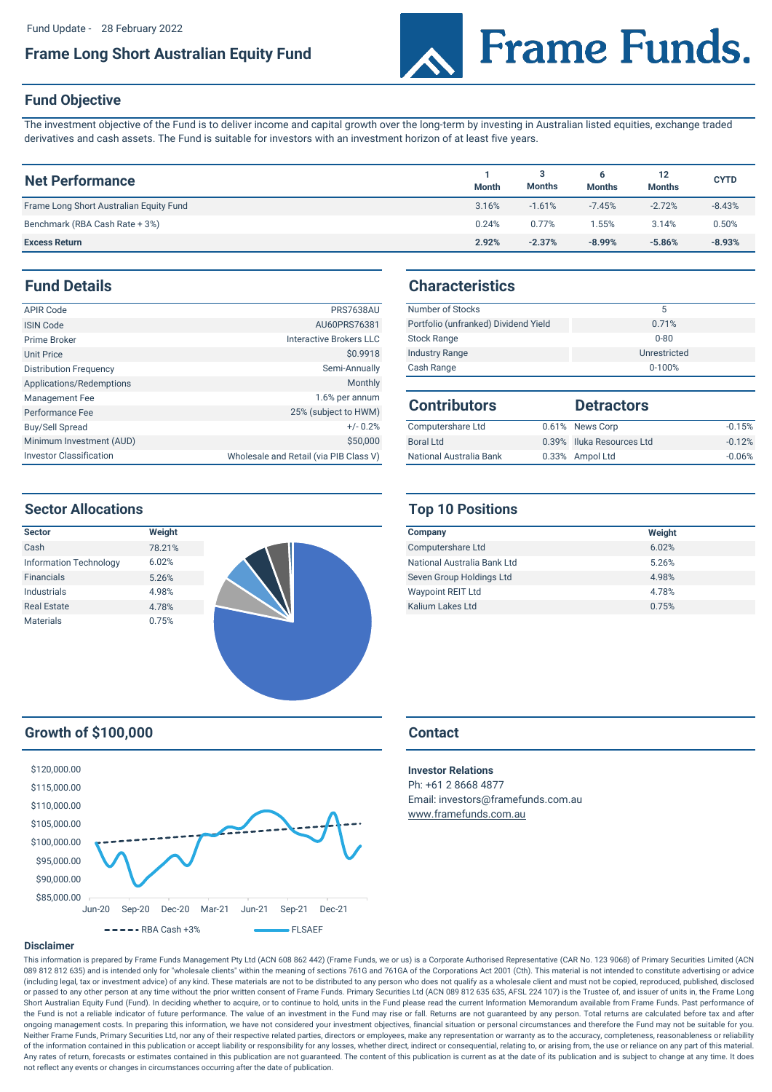# **Frame Long Short Australian Equity Fund**



## **Fund Objective**

The investment objective of the Fund is to deliver income and capital growth over the long-term by investing in Australian listed equities, exchange traded derivatives and cash assets. The Fund is suitable for investors with an investment horizon of at least five years.

| <b>Net Performance</b>                  | <b>Month</b> | <b>Months</b> | 6<br><b>Months</b> | 12<br><b>Months</b> | <b>CYTD</b> |
|-----------------------------------------|--------------|---------------|--------------------|---------------------|-------------|
| Frame Long Short Australian Equity Fund | 3.16%        | $-1.61%$      | $-7.45%$           | $-2.72%$            | $-8.43%$    |
| Benchmark (RBA Cash Rate + 3%)          | 0.24%        | 0.77%         | .55%               | 3.14%               | 0.50%       |
| <b>Excess Return</b>                    | 2.92%        | $-2.37%$      | $-8.99%$           | $-5.86%$            | $-8.93%$    |

# **Fund Details**

| APIR Code                      | <b>PRS7638AU</b>                       | Number of Stocks         |  |
|--------------------------------|----------------------------------------|--------------------------|--|
| <b>ISIN Code</b>               | AU60PRS76381                           | Portfolio (unfranked) Di |  |
| Prime Broker                   | Interactive Brokers LLC                | <b>Stock Range</b>       |  |
| <b>Unit Price</b>              | \$0,9918                               | <b>Industry Range</b>    |  |
| <b>Distribution Frequency</b>  | Semi-Annually                          | Cash Range               |  |
| Applications/Redemptions       | <b>Monthly</b>                         |                          |  |
| Management Fee                 | 1.6% per annum                         | <b>Contributors</b>      |  |
| Performance Fee                | 25% (subject to HWM)                   |                          |  |
| <b>Buy/Sell Spread</b>         | $+/- 0.2%$                             | Computershare Ltd        |  |
| Minimum Investment (AUD)       | \$50,000                               | <b>Boral Ltd</b>         |  |
| <b>Investor Classification</b> | Wholesale and Retail (via PIB Class V) | National Australia Bank  |  |

# **Characteristics**

| <b>PRS7638AU</b> | Number of Stocks                     |              |
|------------------|--------------------------------------|--------------|
| AU60PRS76381     | Portfolio (unfranked) Dividend Yield | 0.71%        |
| tive Brokers LLC | <b>Stock Range</b>                   | $0 - 80$     |
| \$0,9918         | <b>Industry Range</b>                | Unrestricted |
| Semi-Annually    | Cash Range                           | $0 - 100%$   |

| <b>Contributors</b>     | <b>Detractors</b>         |          |
|-------------------------|---------------------------|----------|
| Computershare Ltd       | 0.61% News Corp           | $-0.15%$ |
| Boral Ltd               | 0.39% Iluka Resources Ltd | $-0.12%$ |
| National Australia Bank | 0.33% Ampol Ltd           | $-0.06%$ |

## **Sector Allocations**



# **Growth of \$100,000 Contact**



# **Top 10 Positions**

| Company                     | Weight |
|-----------------------------|--------|
| Computershare Ltd           | 6.02%  |
| National Australia Bank Ltd | 5.26%  |
| Seven Group Holdings Ltd    | 4.98%  |
| <b>Waypoint REIT Ltd</b>    | 4.78%  |
| Kalium Lakes Ltd            | 0.75%  |

Ph: +61 2 8668 4877 Email: investors@framefunds.com.au [www.frame](http://www.framefunds.com.au/)funds.com.au **Investor Relations**

### **Disclaimer**

This information is prepared by Frame Funds Management Pty Ltd (ACN 608 862 442) (Frame Funds, we or us) is a Corporate Authorised Representative (CAR No. 123 9068) of Primary Securities Limited (ACN 089 812 812 635) and is intended only for "wholesale clients" within the meaning of sections 761G and 761GA of the Corporations Act 2001 (Cth). This material is not intended to constitute advertising or advice (including legal, tax or investment advice) of any kind. These materials are not to be distributed to any person who does not qualify as a wholesale client and must not be copied, reproduced, published, disclosed or passed to any other person at any time without the prior written consent of Frame Funds. Primary Securities Ltd (ACN 089 812 635 635, AFSL 224 107) is the Trustee of, and issuer of units in, the Frame Long Short Australian Equity Fund (Fund). In deciding whether to acquire, or to continue to hold, units in the Fund please read the current Information Memorandum available from Frame Funds. Past performance of the Fund is not a reliable indicator of future performance. The value of an investment in the Fund may rise or fall. Returns are not guaranteed by any person. Total returns are calculated before tax and after ongoing management costs. In preparing this information, we have not considered your investment objectives, financial situation or personal circumstances and therefore the Fund may not be suitable for you. Neither Frame Funds, Primary Securities Ltd, nor any of their respective related parties, directors or employees, make any representation or warranty as to the accuracy, completeness, reasonableness or reliability of the information contained in this publication or accept liability or responsibility for any losses, whether direct, indirect or consequential, relating to, or arising from, the use or reliance on any part of this materi Any rates of return, forecasts or estimates contained in this publication are not guaranteed. The content of this publication is current as at the date of its publication and is subject to change at any time. It does not reflect any events or changes in circumstances occurring after the date of publication.